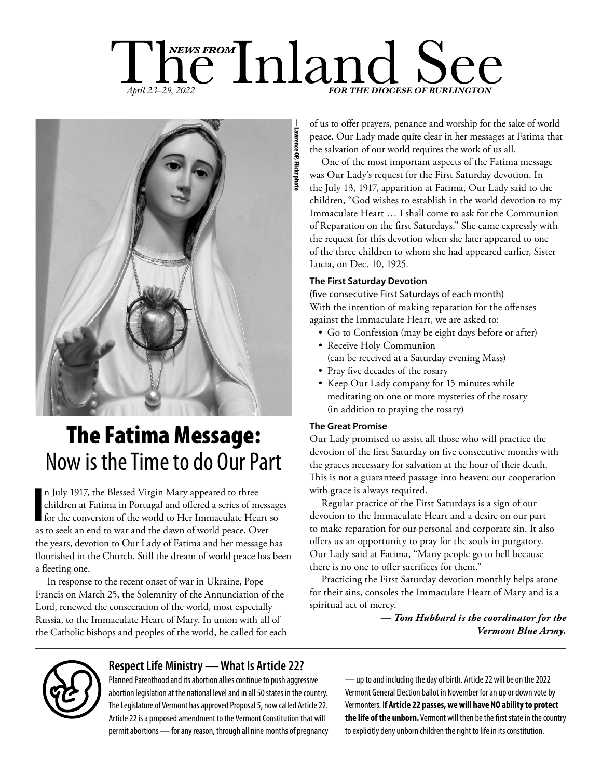# hews FROM Inland See *April 23-29, 2022*



# The Fatima Message: Now is the Time to do Our Part

In July 1917, the Blessed Virgin Mary appeared to three children at Fatima in Portugal and offered a series of mess for the conversion of the world to Her Immaculate Heart as to seek an end to war and the dawn of world pea n July 1917, the Blessed Virgin Mary appeared to three children at Fatima in Portugal and offered a series of messages for the conversion of the world to Her Immaculate Heart so the years, devotion to Our Lady of Fatima and her message has flourished in the Church. Still the dream of world peace has been a fleeting one.

In response to the recent onset of war in Ukraine, Pope Francis on March 25, the Solemnity of the Annunciation of the Lord, renewed the consecration of the world, most especially Russia, to the Immaculate Heart of Mary. In union with all of the Catholic bishops and peoples of the world, he called for each of us to offer prayers, penance and worship for the sake of world peace. Our Lady made quite clear in her messages at Fatima that the salvation of our world requires the work of us all.

One of the most important aspects of the Fatima message was Our Lady's request for the First Saturday devotion. In the July 13, 1917, apparition at Fatima, Our Lady said to the children, "God wishes to establish in the world devotion to my Immaculate Heart … I shall come to ask for the Communion of Reparation on the first Saturdays." She came expressly with the request for this devotion when she later appeared to one of the three children to whom she had appeared earlier, Sister Lucia, on Dec. 10, 1925.

#### **The First Saturday Devotion**

(five consecutive First Saturdays of each month) With the intention of making reparation for the offenses against the Immaculate Heart, we are asked to:

- Go to Confession (may be eight days before or after)
- Receive Holy Communion (can be received at a Saturday evening Mass)
- Pray five decades of the rosary
- Keep Our Lady company for 15 minutes while meditating on one or more mysteries of the rosary (in addition to praying the rosary)

#### **The Great Promise**

Our Lady promised to assist all those who will practice the devotion of the first Saturday on five consecutive months with the graces necessary for salvation at the hour of their death. This is not a guaranteed passage into heaven; our cooperation with grace is always required.

Regular practice of the First Saturdays is a sign of our devotion to the Immaculate Heart and a desire on our part to make reparation for our personal and corporate sin. It also offers us an opportunity to pray for the souls in purgatory. Our Lady said at Fatima, "Many people go to hell because there is no one to offer sacrifices for them."

Practicing the First Saturday devotion monthly helps atone for their sins, consoles the Immaculate Heart of Mary and is a spiritual act of mercy.

> *— Tom Hubbard is the coordinator for the Vermont Blue Army.*



### **Respect Life Ministry — What Is Article 22?**

Planned Parenthood and its abortion allies continue to push aggressive abortion legislation at the national level and in all 50 states in the country. The Legislature of Vermont has approved Proposal 5, now called Article 22. Article 22 is a proposed amendment to the Vermont Constitution that will permit abortions — for any reason, through all nine months of pregnancy — up to and including the day of birth. Article 22 will be on the 2022 Vermont General Election ballot in November for an up or down vote by Vermonters. I**f Article 22 passes, we will have NO ability to protect the life of the unborn.** Vermont will then be the first state in the country to explicitly deny unborn children the right to life in its constitution.